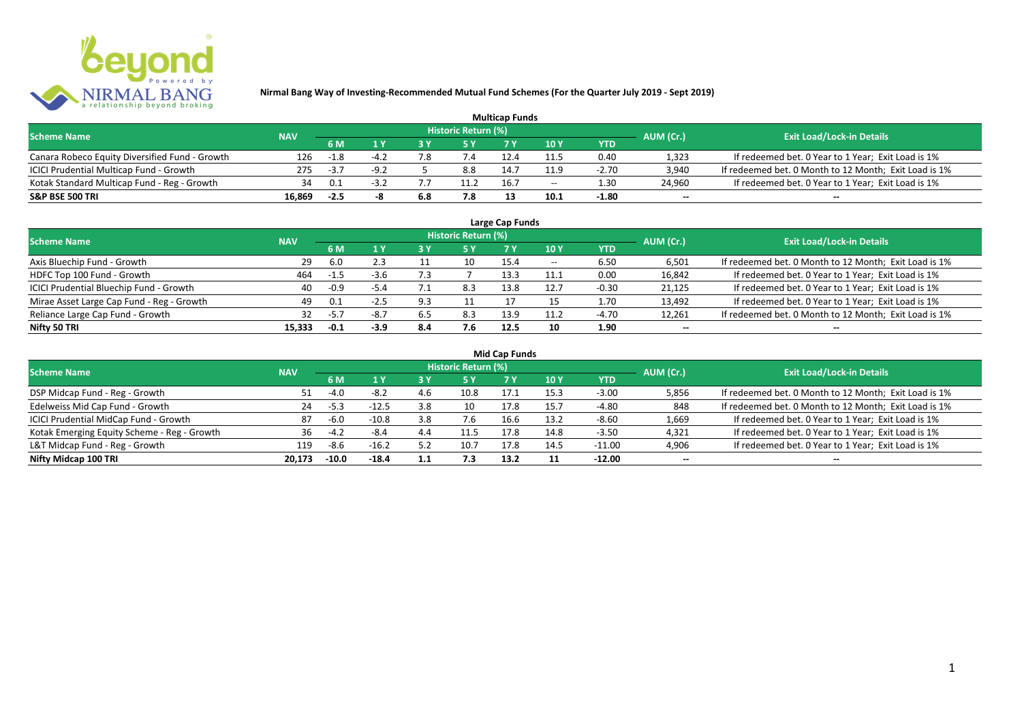

| <b>Multicap Funds</b>                          |            |        |        |     |                            |      |                          |         |                          |                                                       |  |  |
|------------------------------------------------|------------|--------|--------|-----|----------------------------|------|--------------------------|---------|--------------------------|-------------------------------------------------------|--|--|
| <b>Scheme Name</b>                             | <b>NAV</b> |        |        |     | <b>Historic Return (%)</b> |      |                          |         | AUM (Cr.)                | <b>Exit Load/Lock-in Details</b>                      |  |  |
|                                                |            | 6 M    |        |     |                            |      | 10Y                      | YTD     |                          |                                                       |  |  |
| Canara Robeco Equity Diversified Fund - Growth | 126        | $-1.8$ | $-4.2$ | 8.' | 7.4                        |      | 11.5                     | 0.40    | 1,323                    | If redeemed bet. 0 Year to 1 Year; Exit Load is 1%    |  |  |
| ICICI Prudential Multicap Fund - Growth        | 275        | $-3.7$ | $-9.2$ |     | 8.8                        | 14.  | 11.9                     | $-2.70$ | 3,940                    | If redeemed bet. 0 Month to 12 Month; Exit Load is 1% |  |  |
| Kotak Standard Multicap Fund - Reg - Growth    | 34         | 0.1    | -31    |     | 11.2                       | 16.7 | $\overline{\phantom{a}}$ | 1.30    | 24,960                   | If redeemed bet. 0 Year to 1 Year; Exit Load is 1%    |  |  |
| S&P BSE 500 TRI                                | 16.869     | $-2.5$ |        | 6.8 | 7.8                        |      | 10.1                     | $-1.80$ | $\overline{\phantom{a}}$ | $\overline{\phantom{a}}$                              |  |  |

| Large Cap Funds                           |            |        |        |     |                     |      |         |            |                          |                                                       |  |  |  |
|-------------------------------------------|------------|--------|--------|-----|---------------------|------|---------|------------|--------------------------|-------------------------------------------------------|--|--|--|
| <b>Scheme Name</b>                        | <b>NAV</b> |        |        |     | Historic Return (%) |      |         |            | AUM (Cr.)                | <b>Exit Load/Lock-in Details</b>                      |  |  |  |
|                                           |            | 6 M    | 1 Y    |     | 5 Y                 |      | 10 Y    | <b>YTD</b> |                          |                                                       |  |  |  |
| Axis Bluechip Fund - Growth               | 29         | 6.0    |        |     |                     | 15.4 | $- -$   | 6.50       | 6,501                    | If redeemed bet. 0 Month to 12 Month; Exit Load is 1% |  |  |  |
| HDFC Top 100 Fund - Growth                | 464        | $-1.5$ | $-3.6$ | 7.3 |                     | 13.3 | <b></b> | 0.00       | 16,842                   | If redeemed bet. 0 Year to 1 Year; Exit Load is 1%    |  |  |  |
| ICICI Prudential Bluechip Fund - Growth   | 40         | $-0.9$ | $-5.4$ |     | 8.3                 | 13.8 | 12.7    | $-0.30$    | 21,125                   | If redeemed bet. 0 Year to 1 Year; Exit Load is 1%    |  |  |  |
| Mirae Asset Large Cap Fund - Reg - Growth | 49         | 0.1    | $-2.5$ | 9.3 |                     |      |         | 1.70       | 13,492                   | If redeemed bet. 0 Year to 1 Year; Exit Load is 1%    |  |  |  |
| Reliance Large Cap Fund - Growth          | 32         | $-5.7$ | $-8.7$ | 6.5 | 8.3                 | 13.9 |         | $-4.70$    | 12,261                   | If redeemed bet. 0 Month to 12 Month; Exit Load is 1% |  |  |  |
| Nifty 50 TRI                              | 15.333     | $-0.1$ | $-3.9$ | 8.4 | 7.6                 | 12.5 | 10      | 1.90       | $\overline{\phantom{a}}$ | $- -$                                                 |  |  |  |

| <b>Mid Cap Funds</b> |  |
|----------------------|--|
|----------------------|--|

| <b>Scheme Name</b>                          | <b>NAV</b> |         |         |     | Historic Return (%) |      |                 |            | AUM (Cr.)                | <b>Exit Load/Lock-in Details</b>                      |
|---------------------------------------------|------------|---------|---------|-----|---------------------|------|-----------------|------------|--------------------------|-------------------------------------------------------|
|                                             |            | 6 M     |         |     | /5 Y                |      | 10 <sub>Y</sub> | <b>YTD</b> |                          |                                                       |
| DSP Midcap Fund - Reg - Growth              | 51.        | $-4.0$  | $-8.2$  |     | 10.8                | 17.1 | 15.3            | $-3.00$    | 5,856                    | If redeemed bet. 0 Month to 12 Month; Exit Load is 1% |
| Edelweiss Mid Cap Fund - Growth             | 24         | $-5.3$  | $-12.5$ | 3.8 | 10                  | 17.8 | 15.7            | -4.80      | 848                      | If redeemed bet. 0 Month to 12 Month; Exit Load is 1% |
| ICICI Prudential MidCap Fund - Growth       | 87         | -6.0    | $-10.8$ | 3.8 |                     | 16.6 | 13.2            | $-8.60$    | 1,669                    | If redeemed bet. 0 Year to 1 Year; Exit Load is 1%    |
| Kotak Emerging Equity Scheme - Reg - Growth | 36         | $-4.7$  | $-8.4$  | 4.4 |                     | 17.8 | 14.8            | $-3.50$    | 4,321                    | If redeemed bet. 0 Year to 1 Year; Exit Load is 1%    |
| L&T Midcap Fund - Reg - Growth              | 119        | $-8.6$  | $-16.2$ | 5.2 | 10.7                | 17.8 | 14.5            | -11.00     | 4,906                    | If redeemed bet. 0 Year to 1 Year; Exit Load is 1%    |
| Nifty Midcap 100 TRI                        | 20.173     | $-10.0$ | $-18.4$ | 1.1 | 7.3                 | 13.2 |                 | $-12.00$   | $\overline{\phantom{a}}$ | $\overline{\phantom{a}}$                              |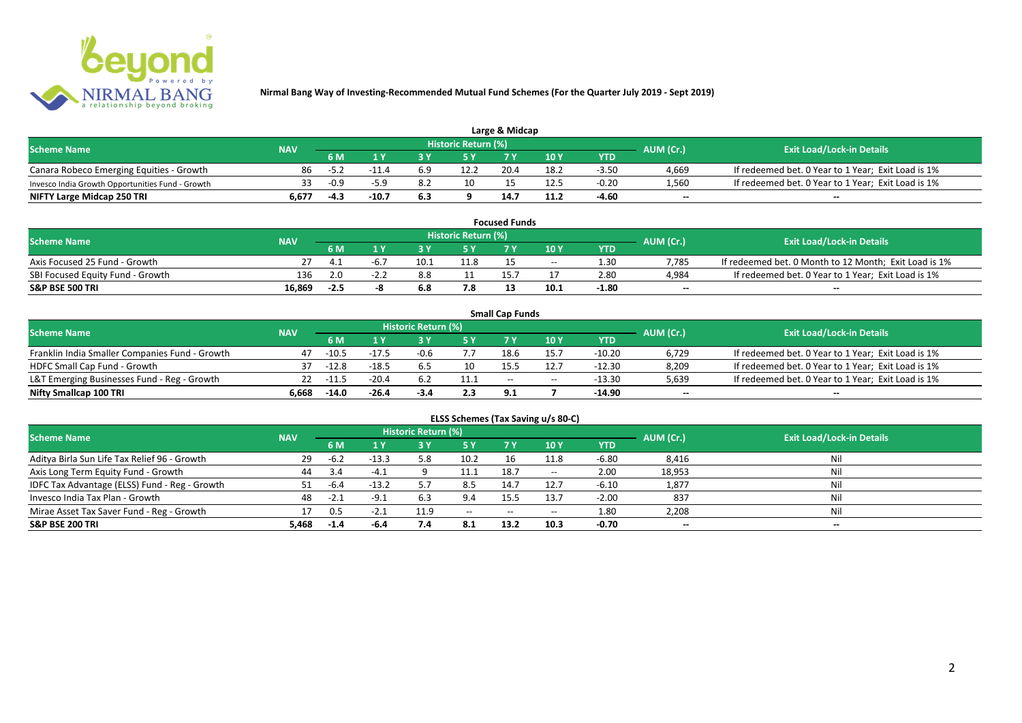

| Large & Midcap                                   |            |        |         |     |                     |      |      |         |           |                                                    |  |  |
|--------------------------------------------------|------------|--------|---------|-----|---------------------|------|------|---------|-----------|----------------------------------------------------|--|--|
| <b>Scheme Name</b>                               | <b>NAV</b> |        |         |     | Historic Return (%) |      |      |         | AUM (Cr.) | <b>Exit Load/Lock-in Details</b>                   |  |  |
|                                                  |            | 6 M    |         |     |                     |      | 10Y  | YTD     |           |                                                    |  |  |
| Canara Robeco Emerging Equities - Growth         | 86         | -5.4   |         |     | 12.2                | 20.4 | 18.2 | $-3.50$ | 4,669     | If redeemed bet. 0 Year to 1 Year; Exit Load is 1% |  |  |
| Invesco India Growth Opportunities Fund - Growth |            | $-0.9$ |         |     | 10                  |      |      | $-0.20$ | 1,560     | If redeemed bet. 0 Year to 1 Year; Exit Load is 1% |  |  |
| NIFTY Large Midcap 250 TRI                       | 6.677      | -4.3   | $-10.7$ | 6.3 |                     | 14.7 |      | -4.60   | $-$       | $- -$                                              |  |  |

| <b>Focused Funds</b>             |            |        |        |      |                     |  |       |                   |                          |                                                       |  |  |
|----------------------------------|------------|--------|--------|------|---------------------|--|-------|-------------------|--------------------------|-------------------------------------------------------|--|--|
| <b>Scheme Name</b>               | <b>NAV</b> |        |        |      | Historic Return (%) |  |       |                   | AUM (Cr.)                | <b>Exit Load/Lock-in Details</b>                      |  |  |
|                                  |            | 6 M    |        |      | <b>EV</b>           |  | 10 Y  | <b>YTD</b>        |                          |                                                       |  |  |
| Axis Focused 25 Fund - Growth    |            |        |        | 10.1 | 11.8                |  | $- -$ | 1.30 <sub>1</sub> | 7.785                    | If redeemed bet. 0 Month to 12 Month; Exit Load is 1% |  |  |
| SBI Focused Equity Fund - Growth | 136        | 2.0    | $-2.2$ | 8.8  |                     |  |       | 2.80              | 4.984                    | If redeemed bet. 0 Year to 1 Year; Exit Load is 1%    |  |  |
| S&P BSE 500 TRI                  | 16.869     | $-2.5$ |        |      |                     |  | 10.1  | -1.80             | $\overline{\phantom{a}}$ | $- -$                                                 |  |  |

|                                                |            |             |         |                     |      | <b>Small Cap Funds</b> |                                       |            |                          |                                                    |
|------------------------------------------------|------------|-------------|---------|---------------------|------|------------------------|---------------------------------------|------------|--------------------------|----------------------------------------------------|
| <b>Scheme Name</b>                             | <b>NAV</b> |             |         | Historic Return (%) |      |                        |                                       |            | AUM (Cr.)                | <b>Exit Load/Lock-in Details</b>                   |
|                                                |            | 6 M         |         |                     |      |                        | 10 Y                                  | <b>YTD</b> |                          |                                                    |
| Franklin India Smaller Companies Fund - Growth | 47         | $-10.5$     | $-17.5$ | $-0.6$              |      | 18.6                   | 15.7                                  | $-10.20$   | 6,729                    | If redeemed bet. 0 Year to 1 Year; Exit Load is 1% |
| HDFC Small Cap Fund - Growth                   | 37         | $-12.8$     | $-18.5$ |                     | 10   |                        |                                       | -12.30     | 8,209                    | If redeemed bet. 0 Year to 1 Year; Exit Load is 1% |
| L&T Emerging Businesses Fund - Reg - Growth    |            | $22 - 11.5$ | $-20.4$ |                     | 11.1 | $-$                    | $\hspace{0.05cm}$ – $\hspace{0.05cm}$ | $-13.30$   | 5,639                    | If redeemed bet. 0 Year to 1 Year; Exit Load is 1% |
| Nifty Smallcap 100 TRI                         | 6.668      | $-14.0$     | $-26.4$ | $-3.4$              | 2.3  | 9.1                    |                                       | -14.90     | $\overline{\phantom{a}}$ | $-$                                                |

| ELSS Schemes (Tax Saving u/s 80-C)            |            |           |         |                     |           |            |                                       |            |                          |                                  |  |  |
|-----------------------------------------------|------------|-----------|---------|---------------------|-----------|------------|---------------------------------------|------------|--------------------------|----------------------------------|--|--|
| <b>Scheme Name</b>                            | <b>NAV</b> |           |         | Historic Return (%) |           |            |                                       |            | AUM (Cr.)                | <b>Exit Load/Lock-in Details</b> |  |  |
|                                               |            | <b>6M</b> | 1 Y     | 3 Y                 | <b>5Y</b> | <b>7 Y</b> | 10 Y                                  | <b>YTD</b> |                          |                                  |  |  |
| Aditya Birla Sun Life Tax Relief 96 - Growth  | 29         | -6.2      | $-13.3$ | 5.8                 | 10.2      | 16         | 11.8                                  | $-6.80$    | 8,416                    | Nil                              |  |  |
| Axis Long Term Equity Fund - Growth           | 44         | 3.4       | $-4.1$  |                     | 11.1      | 18.7       | $\hspace{0.05cm}$ – $\hspace{0.05cm}$ | 2.00       | 18,953                   | Nil                              |  |  |
| IDFC Tax Advantage (ELSS) Fund - Reg - Growth | 51         | -6.4      | $-13.2$ |                     | 8.5       | 14.7       | 12.7                                  | $-6.10$    | 1,877                    | Nil                              |  |  |
| Invesco India Tax Plan - Growth               | 48         | $-2.1$    | $-9.1$  | 6.3                 | 9.4       | 15.5       | 13.7                                  | $-2.00$    | 837                      | Nil                              |  |  |
| Mirae Asset Tax Saver Fund - Reg - Growth     | 17         | 0.5       | $-2.1$  | 11.9                | $- -$     | $- -$      | $\hspace{0.05cm}$ – $\hspace{0.05cm}$ | 1.80       | 2,208                    | Nil                              |  |  |
| S&P BSE 200 TRI                               | 5,468      | $-1.4$    | -6.4    | 7.4                 | 8.1       | 13.2       | 10.3                                  | $-0.70$    | $\overline{\phantom{a}}$ | $\overline{\phantom{a}}$         |  |  |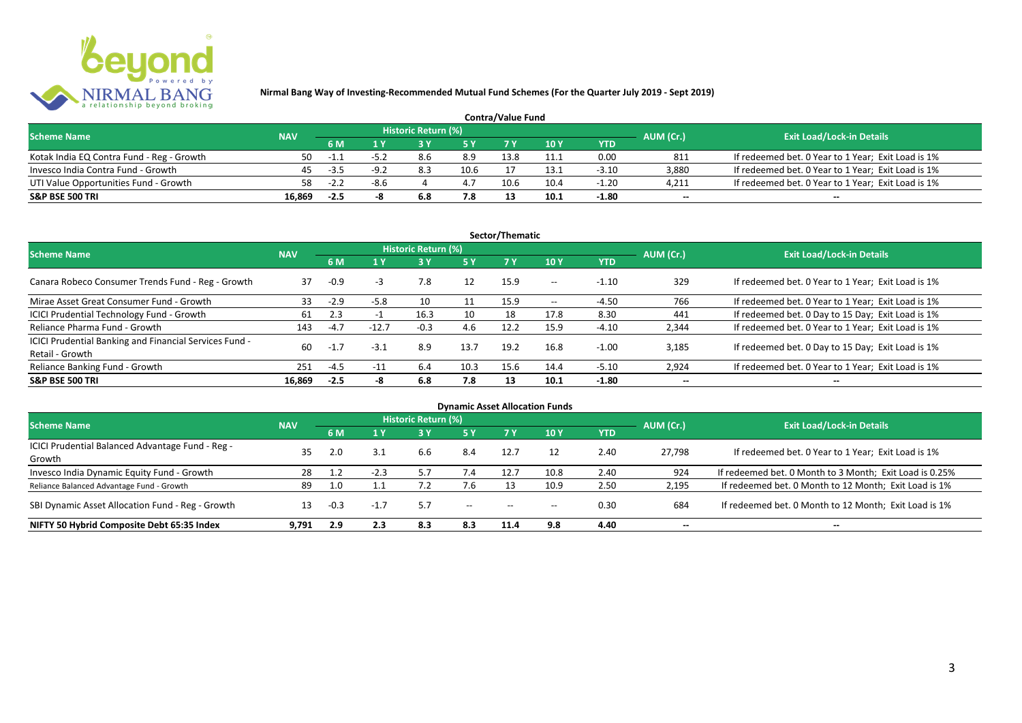

| <b>Contra/Value Fund</b>                  |            |        |        |                     |      |      |      |         |                          |                                                    |  |  |
|-------------------------------------------|------------|--------|--------|---------------------|------|------|------|---------|--------------------------|----------------------------------------------------|--|--|
| <b>Scheme Name</b>                        | <b>NAV</b> |        |        | Historic Return (%) |      |      |      |         | AUM (Cr.)                | <b>Exit Load/Lock-in Details</b>                   |  |  |
|                                           |            | 6 M    |        |                     |      |      | 10 Y | YTD     |                          |                                                    |  |  |
| Kotak India EQ Contra Fund - Reg - Growth | 50         | -1.1   |        |                     | 8.9  | 13.8 |      | 0.00    | 811                      | If redeemed bet. 0 Year to 1 Year; Exit Load is 1% |  |  |
| Invesco India Contra Fund - Growth        | 45         | $-3.5$ | -9.7   |                     | 10.6 |      |      | $-3.10$ | 3.880                    | If redeemed bet. 0 Year to 1 Year; Exit Load is 1% |  |  |
| UTI Value Opportunities Fund - Growth     | 58.        | $-2.2$ | $-8.6$ |                     | 4.7  | 10.6 | 10.4 | $-1.20$ | 4,211                    | If redeemed bet. 0 Year to 1 Year; Exit Load is 1% |  |  |
| <b>S&amp;P BSE 500 TRI</b>                | 16.869     | $-2.5$ |        | 6.8                 | 7.8  |      | 10.1 | $-1.80$ | $\overline{\phantom{a}}$ | $\overline{\phantom{a}}$                           |  |  |

|                                                                           |            |        |         |                     |           | Sector/Thematic |                   |            |                          |                                                    |
|---------------------------------------------------------------------------|------------|--------|---------|---------------------|-----------|-----------------|-------------------|------------|--------------------------|----------------------------------------------------|
| <b>Scheme Name</b>                                                        | <b>NAV</b> |        |         | Historic Return (%) |           |                 |                   |            | AUM (Cr.)                | <b>Exit Load/Lock-in Details</b>                   |
|                                                                           |            | 6 M    | 1 Y     |                     | <b>5Y</b> | <b>7Y</b>       | 10Y               | <b>YTD</b> |                          |                                                    |
| Canara Robeco Consumer Trends Fund - Reg - Growth                         | 37         | $-0.9$ | -3      | 7.8                 | 12        | 15.9            | $- -$             | $-1.10$    | 329                      | If redeemed bet. 0 Year to 1 Year; Exit Load is 1% |
| Mirae Asset Great Consumer Fund - Growth                                  | 33         | $-2.9$ | $-5.8$  | 10                  |           | 15.9            | $\hspace{0.05cm}$ | -4.50      | 766                      | If redeemed bet. 0 Year to 1 Year; Exit Load is 1% |
| ICICI Prudential Technology Fund - Growth                                 | 61         | 2.3    |         | 16.3                | 10        | 18              | 17.8              | 8.30       | 441                      | If redeemed bet. 0 Day to 15 Day; Exit Load is 1%  |
| Reliance Pharma Fund - Growth                                             | 143        | $-4.7$ | $-12.7$ | $-0.3$              | 4.6       | 12.2            | 15.9              | $-4.10$    | 2,344                    | If redeemed bet. 0 Year to 1 Year; Exit Load is 1% |
| ICICI Prudential Banking and Financial Services Fund -<br>Retail - Growth | 60         | $-1.7$ | $-3.1$  | 8.9                 | 13.7      | 19.2            | 16.8              | $-1.00$    | 3.185                    | If redeemed bet. 0 Day to 15 Day; Exit Load is 1%  |
| Reliance Banking Fund - Growth                                            | 251        | $-4.5$ | $-11$   | 6.4                 | 10.3      | 15.6            | 14.4              | $-5.10$    | 2,924                    | If redeemed bet. 0 Year to 1 Year; Exit Load is 1% |
| <b>S&amp;P BSE 500 TRI</b>                                                | 16.869     | $-2.5$ | -8      | 6.8                 | 7.8       | 13              | 10.1              | $-1.80$    | $\overline{\phantom{a}}$ | $- -$                                              |

|                                                            |            |        |        |                            |                                       |                          | <b>Dynamic Asset Allocation Funds</b> |            |                          |                                                         |
|------------------------------------------------------------|------------|--------|--------|----------------------------|---------------------------------------|--------------------------|---------------------------------------|------------|--------------------------|---------------------------------------------------------|
| <b>Scheme Name</b>                                         | <b>NAV</b> |        |        | <b>Historic Return (%)</b> |                                       |                          |                                       |            | AUM (Cr.)                | <b>Exit Load/Lock-in Details</b>                        |
|                                                            |            | 6 M    | 1 Y    | 3 Y                        | 5 Y                                   |                          | 10 Y                                  | <b>YTD</b> |                          |                                                         |
| ICICI Prudential Balanced Advantage Fund - Reg -<br>Growth | 35         | 2.0    | 3.1    | 6.6                        | 8.4                                   | 12.7                     |                                       | 2.40       | 27.798                   | If redeemed bet. 0 Year to 1 Year; Exit Load is 1%      |
| Invesco India Dynamic Equity Fund - Growth                 | 28         |        | $-2.3$ |                            | 7.4                                   | 12.7                     | 10.8                                  | 2.40       | 924                      | If redeemed bet. 0 Month to 3 Month; Exit Load is 0.25% |
| Reliance Balanced Advantage Fund - Growth                  | 89         | 1.0    |        |                            |                                       |                          | 10.9                                  | 2.50       | 2,195                    | If redeemed bet. 0 Month to 12 Month; Exit Load is 1%   |
| SBI Dynamic Asset Allocation Fund - Reg - Growth           |            | $-0.3$ | $-1.7$ | 5.7                        | $\hspace{0.05cm}$ – $\hspace{0.05cm}$ | $\hspace{0.05cm} \ldots$ | $- -$                                 | 0.30       | 684                      | If redeemed bet. 0 Month to 12 Month; Exit Load is 1%   |
| NIFTY 50 Hybrid Composite Debt 65:35 Index                 | 9,791      | 2.9    | 2.3    | 8.3                        | 8.3                                   | 11.4                     | 9.8                                   | 4.40       | $\overline{\phantom{a}}$ | $- -$                                                   |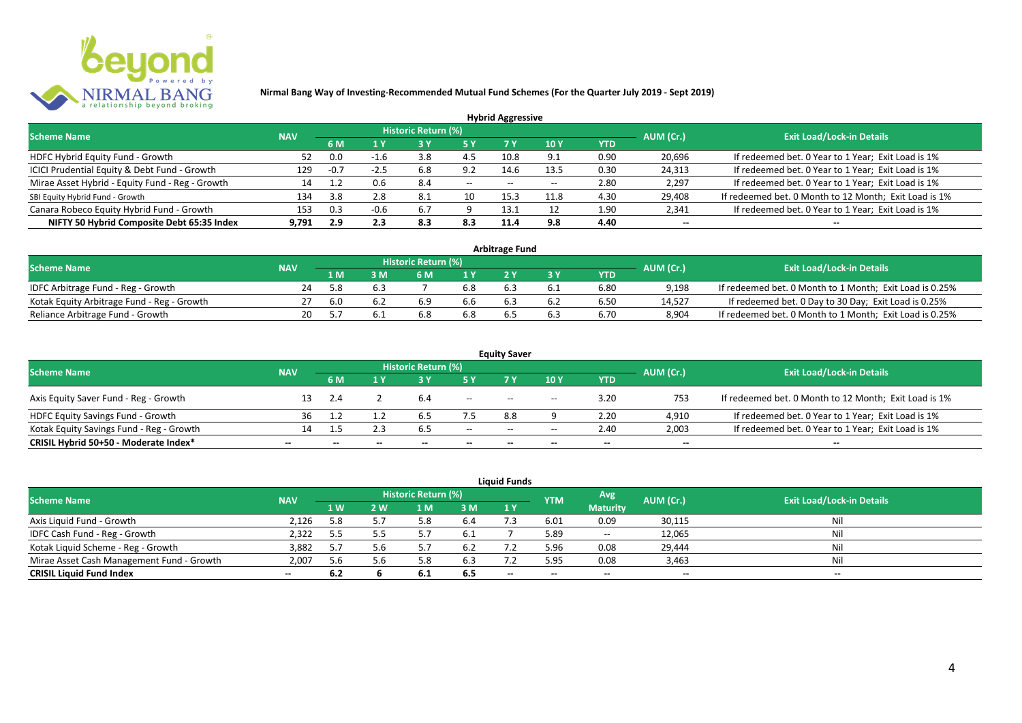

|                                                 |            |        |        |                            |           | <b>Hybrid Aggressive</b> |             |            |                          |                                                       |
|-------------------------------------------------|------------|--------|--------|----------------------------|-----------|--------------------------|-------------|------------|--------------------------|-------------------------------------------------------|
| <b>Scheme Name</b>                              | <b>NAV</b> |        |        | <b>Historic Return (%)</b> |           |                          |             |            | AUM (Cr.)                | <b>Exit Load/Lock-in Details</b>                      |
|                                                 |            | 6 M    | 1 Y    |                            | <b>5Y</b> | 7 Y                      | <b>10 Y</b> | <b>YTD</b> |                          |                                                       |
| HDFC Hybrid Equity Fund - Growth                | 52         | 0.0    | $-1.6$ | 3.8                        | 4.5       | 10.8                     | 9.1         | 0.90       | 20,696                   | If redeemed bet. 0 Year to 1 Year; Exit Load is 1%    |
| ICICI Prudential Equity & Debt Fund - Growth    | 129        | $-0.7$ | $-2.5$ | 6.8                        | 9.2       | 14.6                     | 13.5        | 0.30       | 24,313                   | If redeemed bet. 0 Year to 1 Year; Exit Load is 1%    |
| Mirae Asset Hybrid - Equity Fund - Reg - Growth | 14         |        | 0.6    | 8.4                        | $--$      | $- -$                    | $-$         | 2.80       | 2,297                    | If redeemed bet. 0 Year to 1 Year; Exit Load is 1%    |
| SBI Equity Hybrid Fund - Growth                 | 134        | 3.8    | 2.8    | 8.1                        | 10        | 15.3                     | 11.8        | 4.30       | 29,408                   | If redeemed bet. 0 Month to 12 Month; Exit Load is 1% |
| Canara Robeco Equity Hybrid Fund - Growth       | 153        | 0.3    | $-0.6$ | 6.7                        |           |                          |             | 1.90       | 2,341                    | If redeemed bet. 0 Year to 1 Year; Exit Load is 1%    |
| NIFTY 50 Hybrid Composite Debt 65:35 Index      | 9.791      | 2.9    | 2.3    | 8.3                        | 8.3       | 11.4                     | 9.8         | 4.40       | $\overline{\phantom{a}}$ | $\overline{\phantom{a}}$                              |

| <b>Arbitrage Fund</b>                      |            |     |     |                            |     |  |  |            |           |                                                         |  |  |
|--------------------------------------------|------------|-----|-----|----------------------------|-----|--|--|------------|-----------|---------------------------------------------------------|--|--|
| <b>Scheme Name</b>                         | <b>NAV</b> |     |     | <b>Historic Return (%)</b> |     |  |  |            | AUM (Cr.) | <b>Exit Load/Lock-in Details</b>                        |  |  |
|                                            |            | 1 M |     | 5 M                        |     |  |  | <b>YTD</b> |           |                                                         |  |  |
| IDFC Arbitrage Fund - Reg - Growth         | 24         |     | 6.3 |                            | 6.8 |  |  | 6.80       | 9.198     | If redeemed bet. 0 Month to 1 Month; Exit Load is 0.25% |  |  |
| Kotak Equity Arbitrage Fund - Reg - Growth |            | 6.0 |     | 6.9                        | 6.6 |  |  | 6.50       | 14.527    | If redeemed bet. 0 Day to 30 Day; Exit Load is 0.25%    |  |  |
| Reliance Arbitrage Fund - Growth           | 20         |     |     | 6.8                        | 6.8 |  |  | 6.70       | 8,904     | If redeemed bet. 0 Month to 1 Month; Exit Load is 0.25% |  |  |

|                                          |            |            |              |                     |        | <b>Equity Saver</b>                   |                          |        |                          |                                                       |
|------------------------------------------|------------|------------|--------------|---------------------|--------|---------------------------------------|--------------------------|--------|--------------------------|-------------------------------------------------------|
| <b>Scheme Name</b>                       | <b>NAV</b> |            |              | Historic Return (%) |        |                                       |                          |        | AUM (Cr.)                | <b>Exit Load/Lock-in Details</b>                      |
|                                          |            | <b>6 M</b> |              |                     |        |                                       | 10 Y                     | YTD    |                          |                                                       |
| Axis Equity Saver Fund - Reg - Growth    |            |            |              |                     | $- -$  | $- -$                                 | $\overline{\phantom{a}}$ | 3.20   | 753                      | If redeemed bet. 0 Month to 12 Month; Exit Load is 1% |
| HDFC Equity Savings Fund - Growth        | 36         |            |              |                     |        | 8.8                                   |                          | 2.20   | 4,910                    | If redeemed bet. 0 Year to 1 Year; Exit Load is 1%    |
| Kotak Equity Savings Fund - Reg - Growth | 14.        |            |              | 6.5                 | $- -$  | $\hspace{0.05cm}$ – $\hspace{0.05cm}$ | --                       | 2.40   | 2,003                    | If redeemed bet. 0 Year to 1 Year; Exit Load is 1%    |
| CRISIL Hybrid 50+50 - Moderate Index*    | $- -$      | $-$        | $\mathbf{m}$ | $- -$               | $\sim$ | $- -$                                 | $- -$                    | $\sim$ | $\overline{\phantom{a}}$ | $\overline{\phantom{a}}$                              |

| <b>Liquid Funds</b>                       |            |     |     |                     |      |       |            |                          |                          |                                  |  |  |
|-------------------------------------------|------------|-----|-----|---------------------|------|-------|------------|--------------------------|--------------------------|----------------------------------|--|--|
| <b>Scheme Name</b>                        | <b>NAV</b> |     |     | Historic Return (%) |      |       | <b>YTM</b> | Avg                      | AUM (Cr.)                | <b>Exit Load/Lock-in Details</b> |  |  |
|                                           |            | 1 W | 2 W | 1 M                 | 3 M  | 1Y    |            | <b>Maturity</b>          |                          |                                  |  |  |
| Axis Liquid Fund - Growth                 | 2,126      | 5.8 | 5.7 |                     | 6.4  |       | 6.01       | 0.09                     | 30,115                   | Nil                              |  |  |
| IDFC Cash Fund - Reg - Growth             | 2,322      | 5.5 |     |                     | -6.1 |       | 5.89       | $\overline{\phantom{a}}$ | 12,065                   | Nil                              |  |  |
| Kotak Liquid Scheme - Reg - Growth        | 3,882      | 5.7 | 5.6 |                     | 6.2  |       | 5.96       | 0.08                     | 29,444                   | Nil                              |  |  |
| Mirae Asset Cash Management Fund - Growth | 2,007      | 5.6 | 56  |                     | 6.3  |       | 5.95       | 0.08                     | 3,463                    | Nil                              |  |  |
| <b>CRISIL Liquid Fund Index</b>           | $- -$      | 6.2 |     | 6.1                 | 6.5  | $- -$ | $- -$      | $- -$                    | $\overline{\phantom{a}}$ | $- -$                            |  |  |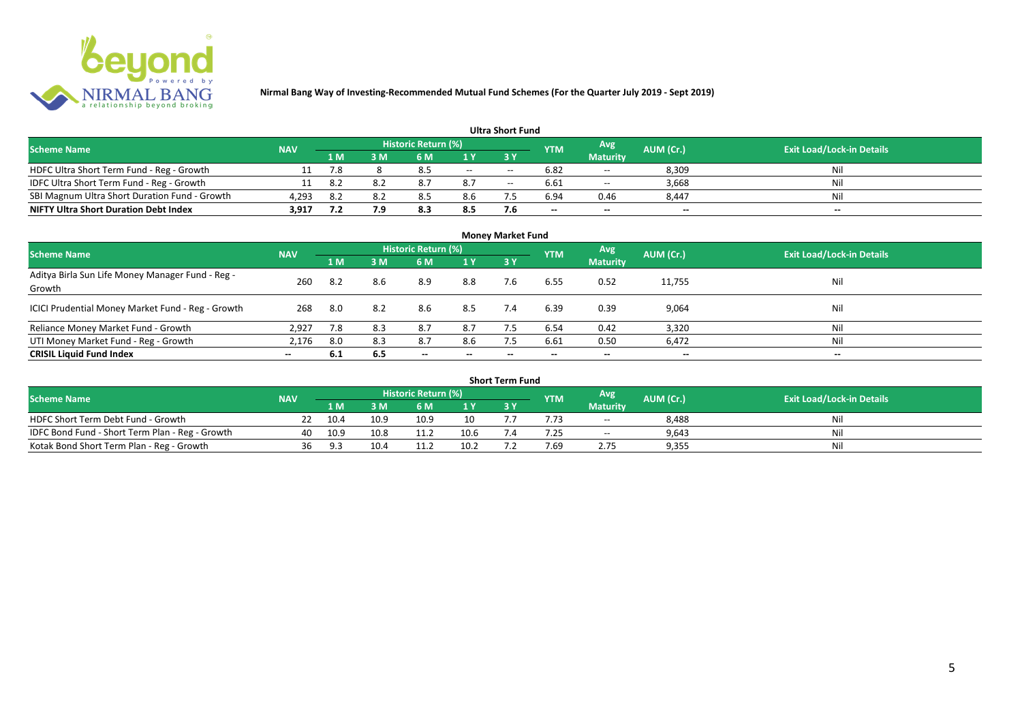

| <b>Ultra Short Fund</b>                       |            |       |     |                     |       |                          |            |                 |                          |                                  |  |  |
|-----------------------------------------------|------------|-------|-----|---------------------|-------|--------------------------|------------|-----------------|--------------------------|----------------------------------|--|--|
| <b>Scheme Name</b>                            | <b>NAV</b> |       |     | Historic Return (%) |       |                          | <b>YTM</b> | Avg             | AUM (Cr.)                | <b>Exit Load/Lock-in Details</b> |  |  |
|                                               |            | 1 M . | 3 M | 6 M                 |       |                          |            | <b>Maturity</b> |                          |                                  |  |  |
| HDFC Ultra Short Term Fund - Reg - Growth     |            | 7.8   |     | 8.5                 | $- -$ | $- -$                    | 6.82       | $- -$           | 8,309                    | Nil                              |  |  |
| IDFC Ultra Short Term Fund - Reg - Growth     |            | 8.2   |     | 8.7                 | 8.7   | $\hspace{0.05cm} \ldots$ | 6.61       | $-$             | 3,668                    | Nil                              |  |  |
| SBI Magnum Ultra Short Duration Fund - Growth | 4.293      | 8.2   | 8 J |                     | 8.6   |                          | 6.94       | 0.46            | 8.447                    | Nil                              |  |  |
| <b>NIFTY Ultra Short Duration Debt Index</b>  | 3,917      | 7.2   | 7.9 | 8.3                 | 8.5   |                          | $-$        | $-$             | $\overline{\phantom{a}}$ | $\overline{\phantom{a}}$         |  |  |

| <b>Money Market Fund</b>                                   |            |     |     |                            |                          |     |            |                 |                          |                                  |  |  |
|------------------------------------------------------------|------------|-----|-----|----------------------------|--------------------------|-----|------------|-----------------|--------------------------|----------------------------------|--|--|
| <b>Scheme Name</b>                                         | <b>NAV</b> |     |     | <b>Historic Return (%)</b> |                          |     | <b>YTM</b> | Avg             | AUM (Cr.)                | <b>Exit Load/Lock-in Details</b> |  |  |
|                                                            |            | 1 M | 3M  | 6 M                        | 1Y                       | 3Y  |            | <b>Maturity</b> |                          |                                  |  |  |
| Aditya Birla Sun Life Money Manager Fund - Reg -<br>Growth | 260        | 8.2 | 8.6 | 8.9                        | 8.8                      | 7.6 | 6.55       | 0.52            | 11,755                   | Nil                              |  |  |
| ICICI Prudential Money Market Fund - Reg - Growth          | 268        | 8.0 | 8.2 | 8.6                        | 8.5                      | 7.4 | 6.39       | 0.39            | 9,064                    | Nil                              |  |  |
| Reliance Money Market Fund - Growth                        | 2,927      | 7.8 | 8.3 | 8.7                        | 8.7                      |     | 6.54       | 0.42            | 3,320                    | Nil                              |  |  |
| UTI Money Market Fund - Reg - Growth                       | 2,176      | 8.0 | 8.3 | 8.7                        | 8.6                      | 7.5 | 6.61       | 0.50            | 6,472                    | Nil                              |  |  |
| <b>CRISIL Liquid Fund Index</b>                            | $-$        | 6.1 | 6.5 | $\overline{\phantom{a}}$   | $\overline{\phantom{a}}$ | --  | $- -$      | $\sim$          | $\overline{\phantom{a}}$ | $\overline{\phantom{a}}$         |  |  |

| Short Term Fund                                 |            |      |      |                     |      |  |            |                          |           |                                  |  |  |
|-------------------------------------------------|------------|------|------|---------------------|------|--|------------|--------------------------|-----------|----------------------------------|--|--|
| <b>Scheme Name</b>                              | <b>NAV</b> |      |      | Historic Return (%) |      |  | <b>YTM</b> | <b>Avg</b>               | AUM (Cr.) | <b>Exit Load/Lock-in Details</b> |  |  |
|                                                 |            | 1 M  | RМ   | 6 M                 | 1 V  |  |            | <b>Maturity</b>          |           |                                  |  |  |
| HDFC Short Term Debt Fund - Growth              |            | 10.4 | 10.9 | 10.9                | 10   |  |            | $\overline{\phantom{a}}$ | 8,488     | Nil                              |  |  |
| IDFC Bond Fund - Short Term Plan - Reg - Growth | 40         | 10.9 | 10.8 | 11.2                | 10.6 |  | .25        | $\overline{\phantom{a}}$ | 9,643     | Nil                              |  |  |
| Kotak Bond Short Term Plan - Reg - Growth       | 36         | 9.3  | 10.4 | 11.2                | 10.2 |  | 7.69       | 2.75                     | 9,355     | Nil                              |  |  |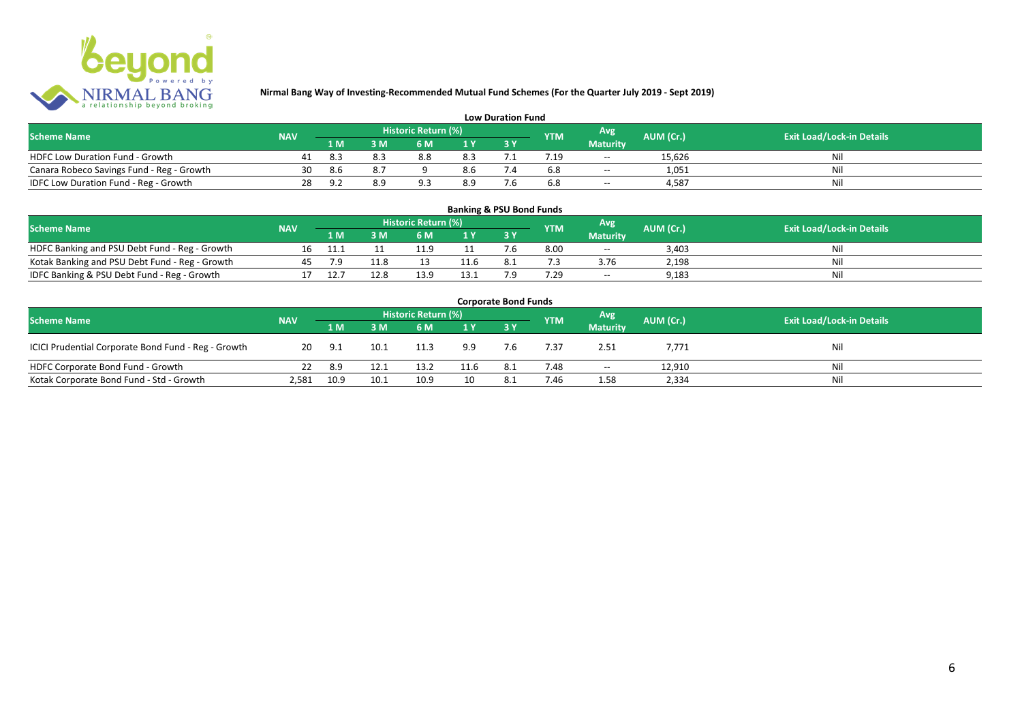

| <b>Low Duration Fund</b>                  |            |       |     |                     |     |     |            |                 |           |                                  |  |  |  |
|-------------------------------------------|------------|-------|-----|---------------------|-----|-----|------------|-----------------|-----------|----------------------------------|--|--|--|
| <b>Scheme Name</b>                        | <b>NAV</b> |       |     | Historic Return (%) |     |     | <b>YTM</b> | Avg             | AUM (Cr.) | <b>Exit Load/Lock-in Details</b> |  |  |  |
|                                           |            | 1 M . |     | 6 M                 |     |     |            | <b>Maturity</b> |           |                                  |  |  |  |
| <b>HDFC Low Duration Fund - Growth</b>    |            | -8.3  | 8.3 | 8.8                 | 8.3 |     |            | $- -$           | 15,626    | Ni                               |  |  |  |
| Canara Robeco Savings Fund - Reg - Growth | 30         | 8.6   | 8.7 |                     | 8.6 | '.4 | 6.8        | $ -$            | 1,051     | Ni                               |  |  |  |
| IDFC Low Duration Fund - Reg - Growth     | 28         |       |     |                     | 8.9 |     | 6.8        | $- -$           | 4.587     | Ni                               |  |  |  |

#### **1 M 3 M 6 M 1 Y 3 Y** Notak Banking and PSU Debt Fund - Reg - Growth 16 11.1 11 11.9 11 7.6 8.00 -- 3,403 Nil<br>
Kotak Banking and PSU Debt Fund - Reg - Growth 45 7.9 11.8 13 11.6 8.1 7.3 3.76 2,198 Nil Notak Banking and PSU Debt Fund - Reg - Growth <br>
17 12.7 12.8 13.9 13.1 7.9 7.29 - 9,183 9,183 13.3 13.1 7.9 9,183 IDFC Banking & PSU Debt Fund - Reg - Growth 17 12.7 12.8 13.9 13.1 7.9 7.29 -- 9,183 **Banking & PSU Bond Funds Scheme Name NAV REGISTER AUM (Cr.) AUM (Cr.)** Exit Load/Lock-in Details **Historic Return (%) Maturity**

| <b>Corporate Bond Funds</b>                         |            |      |      |                     |      |      |            |                          |           |                                  |  |  |  |
|-----------------------------------------------------|------------|------|------|---------------------|------|------|------------|--------------------------|-----------|----------------------------------|--|--|--|
| <b>Scheme Name</b>                                  | <b>NAV</b> |      |      | Historic Return (%) |      |      | <b>YTM</b> | <b>Avg</b>               | AUM (Cr.) | <b>Exit Load/Lock-in Details</b> |  |  |  |
|                                                     |            | 1 M  | 3 M  | 6 M                 | 1Y   |      |            | <b>Maturity</b>          |           |                                  |  |  |  |
| ICICI Prudential Corporate Bond Fund - Reg - Growth | 20         | 9.1  | 10.1 | 11.3                | 9.9  | 7.6  | 7.37       | 2.51                     | 7,771     | Nil                              |  |  |  |
| HDFC Corporate Bond Fund - Growth                   |            | 8.9  | 12.1 | 13.2                | 11.6 | -8.1 | 7.48       | $\overline{\phantom{a}}$ | 12,910    | Ni                               |  |  |  |
| Kotak Corporate Bond Fund - Std - Growth            | 2,581      | 10.9 | 10.1 | 10.9                |      |      | 7.46       | 1.58                     | 2,334     | Ni                               |  |  |  |